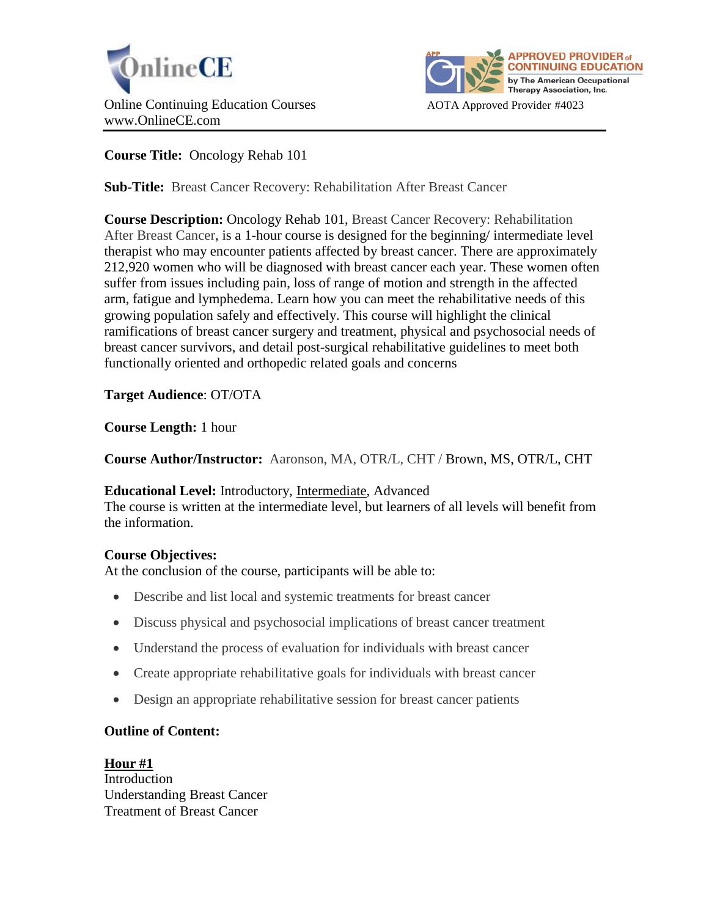



# **Course Title:** Oncology Rehab 101

**Sub-Title:** Breast Cancer Recovery: Rehabilitation After Breast Cancer

**Course Description:** Oncology Rehab 101, Breast Cancer Recovery: Rehabilitation After Breast Cancer, is a 1-hour course is designed for the beginning/ intermediate level therapist who may encounter patients affected by breast cancer. There are approximately 212,920 women who will be diagnosed with breast cancer each year. These women often suffer from issues including pain, loss of range of motion and strength in the affected arm, fatigue and lymphedema. Learn how you can meet the rehabilitative needs of this growing population safely and effectively. This course will highlight the clinical ramifications of breast cancer surgery and treatment, physical and psychosocial needs of breast cancer survivors, and detail post-surgical rehabilitative guidelines to meet both functionally oriented and orthopedic related goals and concerns

**Target Audience**: OT/OTA

**Course Length:** 1 hour

**Course Author/Instructor:** Aaronson, MA, OTR/L, CHT / Brown, MS, OTR/L, CHT

# **Educational Level:** Introductory, Intermediate, Advanced

The course is written at the intermediate level, but learners of all levels will benefit from the information.

# **Course Objectives:**

At the conclusion of the course, participants will be able to:

- Describe and list local and systemic treatments for breast cancer
- Discuss physical and psychosocial implications of breast cancer treatment
- Understand the process of evaluation for individuals with breast cancer
- Create appropriate rehabilitative goals for individuals with breast cancer
- Design an appropriate rehabilitative session for breast cancer patients

# **Outline of Content:**

**Hour #1** Introduction Understanding Breast Cancer Treatment of Breast Cancer